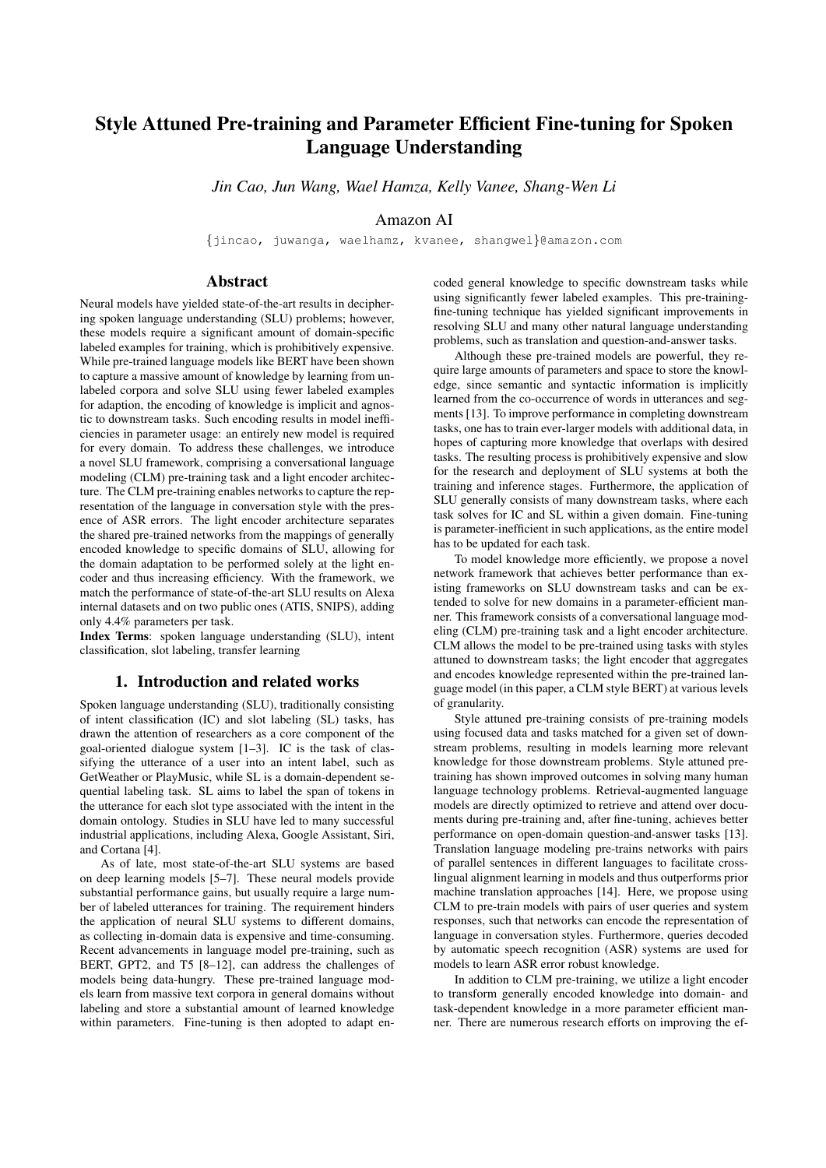# Style Attuned Pre-training and Parameter Efficient Fine-tuning for Spoken Language Understanding

*Jin Cao, Jun Wang, Wael Hamza, Kelly Vanee, Shang-Wen Li*

Amazon AI

{jincao, juwanga, waelhamz, kvanee, shangwel}@amazon.com

# Abstract

Neural models have yielded state-of-the-art results in deciphering spoken language understanding (SLU) problems; however, these models require a significant amount of domain-specific labeled examples for training, which is prohibitively expensive. While pre-trained language models like BERT have been shown to capture a massive amount of knowledge by learning from unlabeled corpora and solve SLU using fewer labeled examples for adaption, the encoding of knowledge is implicit and agnostic to downstream tasks. Such encoding results in model inefficiencies in parameter usage: an entirely new model is required for every domain. To address these challenges, we introduce a novel SLU framework, comprising a conversational language modeling (CLM) pre-training task and a light encoder architecture. The CLM pre-training enables networks to capture the representation of the language in conversation style with the presence of ASR errors. The light encoder architecture separates the shared pre-trained networks from the mappings of generally encoded knowledge to specific domains of SLU, allowing for the domain adaptation to be performed solely at the light encoder and thus increasing efficiency. With the framework, we match the performance of state-of-the-art SLU results on Alexa internal datasets and on two public ones (ATIS, SNIPS), adding only 4.4% parameters per task.

Index Terms: spoken language understanding (SLU), intent classification, slot labeling, transfer learning

# 1. Introduction and related works

Spoken language understanding (SLU), traditionally consisting of intent classification (IC) and slot labeling (SL) tasks, has drawn the attention of researchers as a core component of the goal-oriented dialogue system [1–3]. IC is the task of classifying the utterance of a user into an intent label, such as GetWeather or PlayMusic, while SL is a domain-dependent sequential labeling task. SL aims to label the span of tokens in the utterance for each slot type associated with the intent in the domain ontology. Studies in SLU have led to many successful industrial applications, including Alexa, Google Assistant, Siri, and Cortana [4].

As of late, most state-of-the-art SLU systems are based on deep learning models [5–7]. These neural models provide substantial performance gains, but usually require a large number of labeled utterances for training. The requirement hinders the application of neural SLU systems to different domains, as collecting in-domain data is expensive and time-consuming. Recent advancements in language model pre-training, such as BERT, GPT2, and T5 [8–12], can address the challenges of models being data-hungry. These pre-trained language models learn from massive text corpora in general domains without labeling and store a substantial amount of learned knowledge within parameters. Fine-tuning is then adopted to adapt encoded general knowledge to specific downstream tasks while using significantly fewer labeled examples. This pre-trainingfine-tuning technique has yielded significant improvements in resolving SLU and many other natural language understanding problems, such as translation and question-and-answer tasks.

Although these pre-trained models are powerful, they require large amounts of parameters and space to store the knowledge, since semantic and syntactic information is implicitly learned from the co-occurrence of words in utterances and segments [13]. To improve performance in completing downstream tasks, one has to train ever-larger models with additional data, in hopes of capturing more knowledge that overlaps with desired tasks. The resulting process is prohibitively expensive and slow for the research and deployment of SLU systems at both the training and inference stages. Furthermore, the application of SLU generally consists of many downstream tasks, where each task solves for IC and SL within a given domain. Fine-tuning is parameter-inefficient in such applications, as the entire model has to be updated for each task.

To model knowledge more efficiently, we propose a novel network framework that achieves better performance than existing frameworks on SLU downstream tasks and can be extended to solve for new domains in a parameter-efficient manner. This framework consists of a conversational language modeling (CLM) pre-training task and a light encoder architecture. CLM allows the model to be pre-trained using tasks with styles attuned to downstream tasks; the light encoder that aggregates and encodes knowledge represented within the pre-trained language model (in this paper, a CLM style BERT) at various levels of granularity.

Style attuned pre-training consists of pre-training models using focused data and tasks matched for a given set of downstream problems, resulting in models learning more relevant knowledge for those downstream problems. Style attuned pretraining has shown improved outcomes in solving many human language technology problems. Retrieval-augmented language models are directly optimized to retrieve and attend over documents during pre-training and, after fine-tuning, achieves better performance on open-domain question-and-answer tasks [13]. Translation language modeling pre-trains networks with pairs of parallel sentences in different languages to facilitate crosslingual alignment learning in models and thus outperforms prior machine translation approaches [14]. Here, we propose using CLM to pre-train models with pairs of user queries and system responses, such that networks can encode the representation of language in conversation styles. Furthermore, queries decoded by automatic speech recognition (ASR) systems are used for models to learn ASR error robust knowledge.

In addition to CLM pre-training, we utilize a light encoder to transform generally encoded knowledge into domain- and task-dependent knowledge in a more parameter efficient manner. There are numerous research efforts on improving the ef-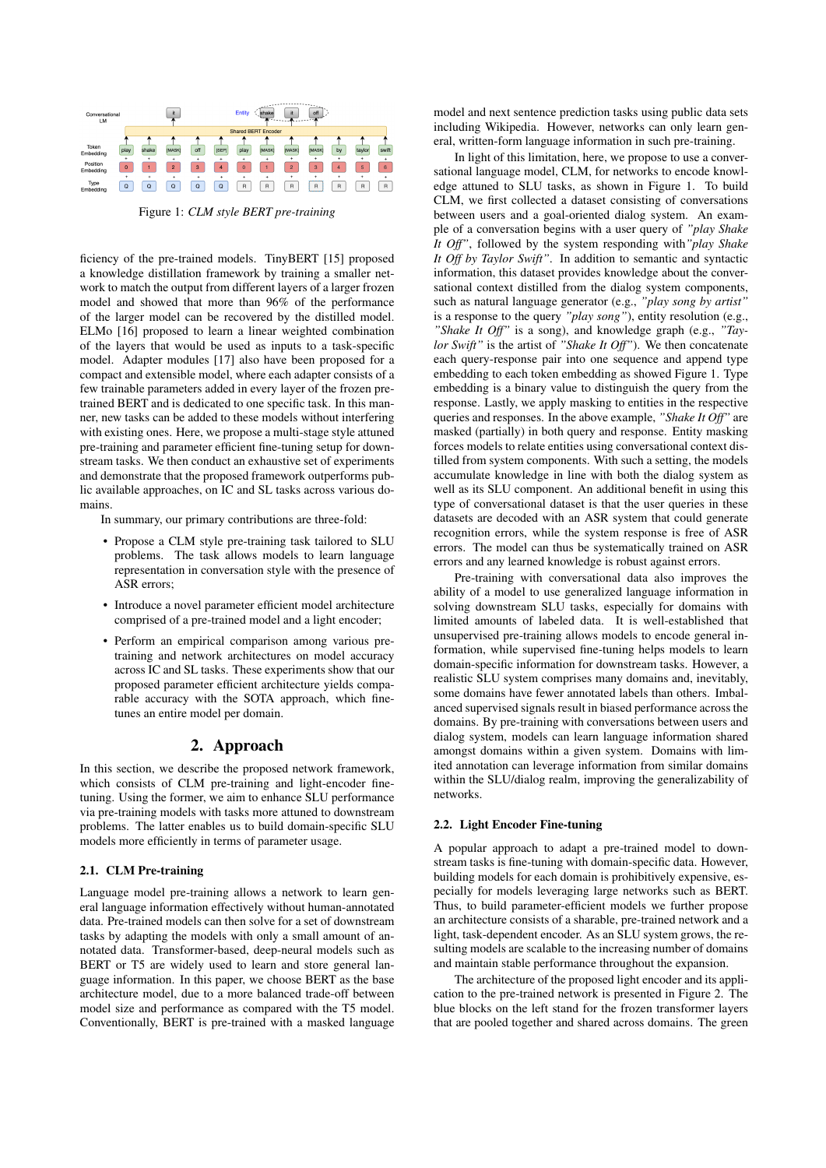

Figure 1: *CLM style BERT pre-training*

ficiency of the pre-trained models. TinyBERT [15] proposed a knowledge distillation framework by training a smaller network to match the output from different layers of a larger frozen model and showed that more than 96% of the performance of the larger model can be recovered by the distilled model. ELMo [16] proposed to learn a linear weighted combination of the layers that would be used as inputs to a task-specific model. Adapter modules [17] also have been proposed for a compact and extensible model, where each adapter consists of a few trainable parameters added in every layer of the frozen pretrained BERT and is dedicated to one specific task. In this manner, new tasks can be added to these models without interfering with existing ones. Here, we propose a multi-stage style attuned pre-training and parameter efficient fine-tuning setup for downstream tasks. We then conduct an exhaustive set of experiments and demonstrate that the proposed framework outperforms public available approaches, on IC and SL tasks across various domains.

In summary, our primary contributions are three-fold:

- Propose a CLM style pre-training task tailored to SLU problems. The task allows models to learn language representation in conversation style with the presence of ASR errors;
- Introduce a novel parameter efficient model architecture comprised of a pre-trained model and a light encoder;
- Perform an empirical comparison among various pretraining and network architectures on model accuracy across IC and SL tasks. These experiments show that our proposed parameter efficient architecture yields comparable accuracy with the SOTA approach, which finetunes an entire model per domain.

## 2. Approach

In this section, we describe the proposed network framework, which consists of CLM pre-training and light-encoder finetuning. Using the former, we aim to enhance SLU performance via pre-training models with tasks more attuned to downstream problems. The latter enables us to build domain-specific SLU models more efficiently in terms of parameter usage.

#### 2.1. CLM Pre-training

Language model pre-training allows a network to learn general language information effectively without human-annotated data. Pre-trained models can then solve for a set of downstream tasks by adapting the models with only a small amount of annotated data. Transformer-based, deep-neural models such as BERT or T5 are widely used to learn and store general language information. In this paper, we choose BERT as the base architecture model, due to a more balanced trade-off between model size and performance as compared with the T5 model. Conventionally, BERT is pre-trained with a masked language

model and next sentence prediction tasks using public data sets including Wikipedia. However, networks can only learn general, written-form language information in such pre-training.

In light of this limitation, here, we propose to use a conversational language model, CLM, for networks to encode knowledge attuned to SLU tasks, as shown in Figure 1. To build CLM, we first collected a dataset consisting of conversations between users and a goal-oriented dialog system. An example of a conversation begins with a user query of *"play Shake It Off"*, followed by the system responding with*"play Shake It Off by Taylor Swift"*. In addition to semantic and syntactic information, this dataset provides knowledge about the conversational context distilled from the dialog system components, such as natural language generator (e.g., *"play song by artist"* is a response to the query *"play song"*), entity resolution (e.g., *"Shake It Off"* is a song), and knowledge graph (e.g., *"Taylor Swift"* is the artist of *"Shake It Off"*). We then concatenate each query-response pair into one sequence and append type embedding to each token embedding as showed Figure 1. Type embedding is a binary value to distinguish the query from the response. Lastly, we apply masking to entities in the respective queries and responses. In the above example, *"Shake It Off"* are masked (partially) in both query and response. Entity masking forces models to relate entities using conversational context distilled from system components. With such a setting, the models accumulate knowledge in line with both the dialog system as well as its SLU component. An additional benefit in using this type of conversational dataset is that the user queries in these datasets are decoded with an ASR system that could generate recognition errors, while the system response is free of ASR errors. The model can thus be systematically trained on ASR errors and any learned knowledge is robust against errors.

Pre-training with conversational data also improves the ability of a model to use generalized language information in solving downstream SLU tasks, especially for domains with limited amounts of labeled data. It is well-established that unsupervised pre-training allows models to encode general information, while supervised fine-tuning helps models to learn domain-specific information for downstream tasks. However, a realistic SLU system comprises many domains and, inevitably, some domains have fewer annotated labels than others. Imbalanced supervised signals result in biased performance across the domains. By pre-training with conversations between users and dialog system, models can learn language information shared amongst domains within a given system. Domains with limited annotation can leverage information from similar domains within the SLU/dialog realm, improving the generalizability of networks.

#### 2.2. Light Encoder Fine-tuning

A popular approach to adapt a pre-trained model to downstream tasks is fine-tuning with domain-specific data. However, building models for each domain is prohibitively expensive, especially for models leveraging large networks such as BERT. Thus, to build parameter-efficient models we further propose an architecture consists of a sharable, pre-trained network and a light, task-dependent encoder. As an SLU system grows, the resulting models are scalable to the increasing number of domains and maintain stable performance throughout the expansion.

The architecture of the proposed light encoder and its application to the pre-trained network is presented in Figure 2. The blue blocks on the left stand for the frozen transformer layers that are pooled together and shared across domains. The green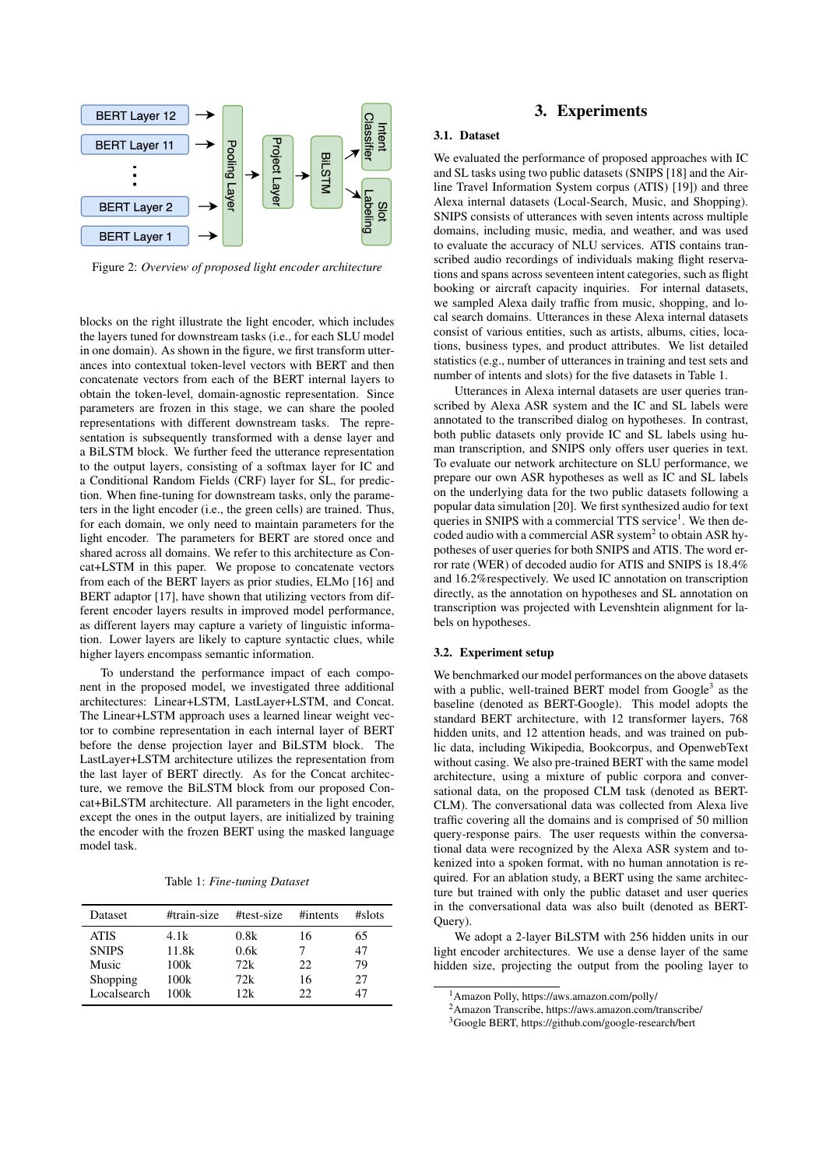

Figure 2: *Overview of proposed light encoder architecture*

blocks on the right illustrate the light encoder, which includes the layers tuned for downstream tasks (i.e., for each SLU model in one domain). As shown in the figure, we first transform utterances into contextual token-level vectors with BERT and then concatenate vectors from each of the BERT internal layers to obtain the token-level, domain-agnostic representation. Since parameters are frozen in this stage, we can share the pooled representations with different downstream tasks. The representation is subsequently transformed with a dense layer and a BiLSTM block. We further feed the utterance representation to the output layers, consisting of a softmax layer for IC and a Conditional Random Fields (CRF) layer for SL, for prediction. When fine-tuning for downstream tasks, only the parameters in the light encoder (i.e., the green cells) are trained. Thus, for each domain, we only need to maintain parameters for the light encoder. The parameters for BERT are stored once and shared across all domains. We refer to this architecture as Concat+LSTM in this paper. We propose to concatenate vectors from each of the BERT layers as prior studies, ELMo [16] and BERT adaptor [17], have shown that utilizing vectors from different encoder layers results in improved model performance, as different layers may capture a variety of linguistic information. Lower layers are likely to capture syntactic clues, while higher layers encompass semantic information.

To understand the performance impact of each component in the proposed model, we investigated three additional architectures: Linear+LSTM, LastLayer+LSTM, and Concat. The Linear+LSTM approach uses a learned linear weight vector to combine representation in each internal layer of BERT before the dense projection layer and BiLSTM block. The LastLayer+LSTM architecture utilizes the representation from the last layer of BERT directly. As for the Concat architecture, we remove the BiLSTM block from our proposed Concat+BiLSTM architecture. All parameters in the light encoder, except the ones in the output layers, are initialized by training the encoder with the frozen BERT using the masked language model task.

Table 1: *Fine-tuning Dataset*

| <b>Dataset</b> | #train-size | #test-size | #intents | $#$ slots |
|----------------|-------------|------------|----------|-----------|
| <b>ATIS</b>    | 4.1k        | 0.8k       | 16       | 65        |
| <b>SNIPS</b>   | 11.8k       | 0.6k       |          | 47        |
| Music          | 100k        | 72k        | 22       | 79        |
| Shopping       | 100k        | 72k        | 16       | 27        |
| Localsearch    | 100k        | 12k        | 22       |           |

# 3. Experiments

## 3.1. Dataset

We evaluated the performance of proposed approaches with IC and SL tasks using two public datasets (SNIPS [18] and the Airline Travel Information System corpus (ATIS) [19]) and three Alexa internal datasets (Local-Search, Music, and Shopping). SNIPS consists of utterances with seven intents across multiple domains, including music, media, and weather, and was used to evaluate the accuracy of NLU services. ATIS contains transcribed audio recordings of individuals making flight reservations and spans across seventeen intent categories, such as flight booking or aircraft capacity inquiries. For internal datasets, we sampled Alexa daily traffic from music, shopping, and local search domains. Utterances in these Alexa internal datasets consist of various entities, such as artists, albums, cities, locations, business types, and product attributes. We list detailed statistics (e.g., number of utterances in training and test sets and number of intents and slots) for the five datasets in Table 1.

Utterances in Alexa internal datasets are user queries transcribed by Alexa ASR system and the IC and SL labels were annotated to the transcribed dialog on hypotheses. In contrast, both public datasets only provide IC and SL labels using human transcription, and SNIPS only offers user queries in text. To evaluate our network architecture on SLU performance, we prepare our own ASR hypotheses as well as IC and SL labels on the underlying data for the two public datasets following a popular data simulation [20]. We first synthesized audio for text queries in SNIPS with a commercial TTS service<sup>1</sup>. We then decoded audio with a commercial ASR system $<sup>2</sup>$  to obtain ASR hy-</sup> potheses of user queries for both SNIPS and ATIS. The word error rate (WER) of decoded audio for ATIS and SNIPS is 18.4% and 16.2%respectively. We used IC annotation on transcription directly, as the annotation on hypotheses and SL annotation on transcription was projected with Levenshtein alignment for labels on hypotheses.

## 3.2. Experiment setup

We benchmarked our model performances on the above datasets with a public, well-trained BERT model from Google<sup>3</sup> as the baseline (denoted as BERT-Google). This model adopts the standard BERT architecture, with 12 transformer layers, 768 hidden units, and 12 attention heads, and was trained on public data, including Wikipedia, Bookcorpus, and OpenwebText without casing. We also pre-trained BERT with the same model architecture, using a mixture of public corpora and conversational data, on the proposed CLM task (denoted as BERT-CLM). The conversational data was collected from Alexa live traffic covering all the domains and is comprised of 50 million query-response pairs. The user requests within the conversational data were recognized by the Alexa ASR system and tokenized into a spoken format, with no human annotation is required. For an ablation study, a BERT using the same architecture but trained with only the public dataset and user queries in the conversational data was also built (denoted as BERT-Query).

We adopt a 2-layer BiLSTM with 256 hidden units in our light encoder architectures. We use a dense layer of the same hidden size, projecting the output from the pooling layer to

<sup>1</sup>Amazon Polly, https://aws.amazon.com/polly/

<sup>2</sup>Amazon Transcribe, https://aws.amazon.com/transcribe/

<sup>3</sup>Google BERT, https://github.com/google-research/bert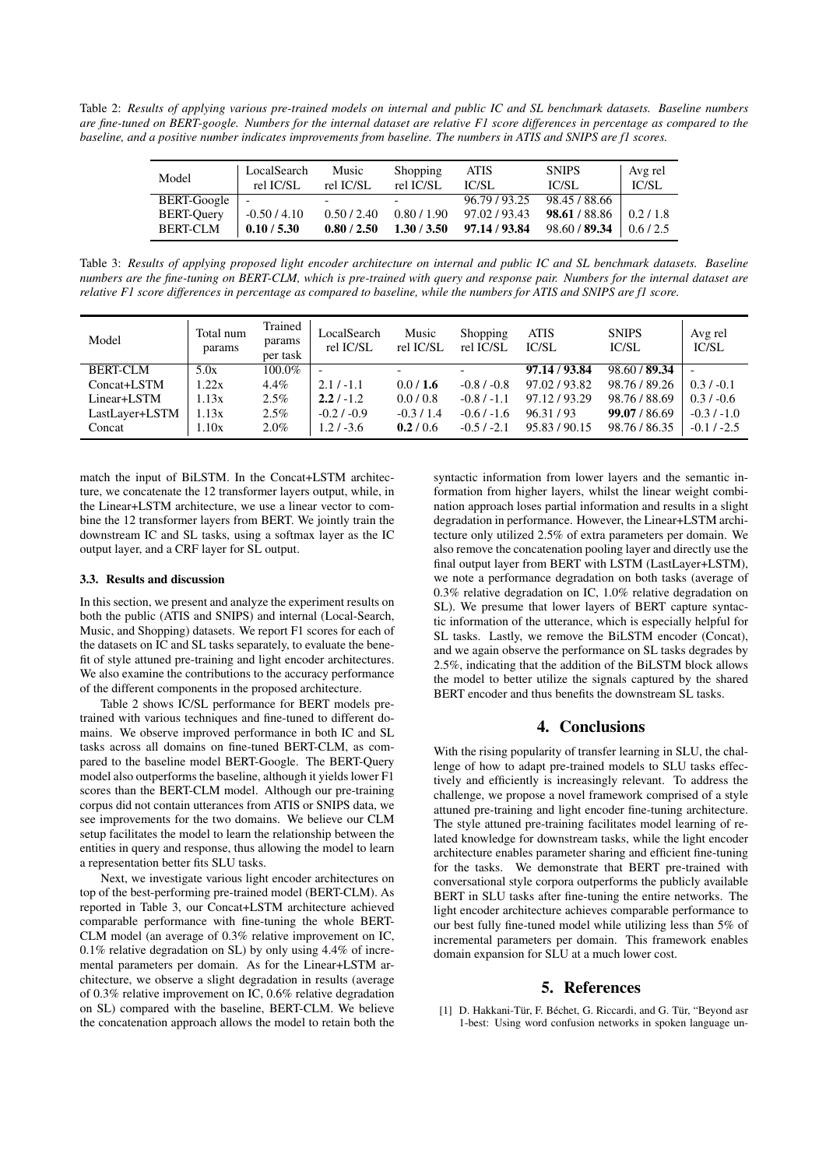Table 2: *Results of applying various pre-trained models on internal and public IC and SL benchmark datasets. Baseline numbers are fine-tuned on BERT-google. Numbers for the internal dataset are relative F1 score differences in percentage as compared to the baseline, and a positive number indicates improvements from baseline. The numbers in ATIS and SNIPS are f1 scores.*

| Model             | LocalSearch<br>rel IC/SL | Music<br>rel IC/SL | Shopping<br>rel IC/SL | <b>ATIS</b><br>IC/SL | <b>SNIPS</b><br>IC/SL | Avg rel<br>IC/SL      |
|-------------------|--------------------------|--------------------|-----------------------|----------------------|-----------------------|-----------------------|
| BERT-Google       |                          |                    |                       | 96.79 / 93.25        | 98.45 / 88.66         |                       |
| <b>BERT-Ouery</b> | $-0.50/4.10$             | 0.50 / 2.40        | 0.80/1.90             | 97.02/93.43          | 98.61 / 88.86         | 0.2/1.8               |
| <b>BERT-CLM</b>   | 0.10 / 5.30              | 0.80 / 2.50        | 1.30 / 3.50           | 97.14 / 93.84        | 98.60 / 89.34         | $\frac{1}{0.6}$ / 2.5 |

Table 3: *Results of applying proposed light encoder architecture on internal and public IC and SL benchmark datasets. Baseline numbers are the fine-tuning on BERT-CLM, which is pre-trained with query and response pair. Numbers for the internal dataset are relative F1 score differences in percentage as compared to baseline, while the numbers for ATIS and SNIPS are f1 score.*

| Model           | Total num<br>params | Trained<br>params<br>per task | LocalSearch<br>rel IC/SL | Music<br>rel IC/SL       | Shopping<br>rel IC/SL    | ATIS<br>IC/SL | <b>SNIPS</b><br>IC/SL | Avg rel<br>IC/SL |
|-----------------|---------------------|-------------------------------|--------------------------|--------------------------|--------------------------|---------------|-----------------------|------------------|
| <b>BERT-CLM</b> | 5.0x                | $100.0\%$                     |                          | $\overline{\phantom{0}}$ | $\overline{\phantom{0}}$ | 97.14 / 93.84 | 98.60 / 89.34         |                  |
| Concat+LSTM     | 1.22x               | $4.4\%$                       | $2.1 / -1.1$             | 0.0/1.6                  | $-0.8/ -0.8$             | 97.02 / 93.82 | 98.76 / 89.26         | $0.3 / -0.1$     |
| Linear+LSTM     | 1.13x               | $2.5\%$                       | $2.2/ -1.2$              | 0.0/0.8                  | $-0.8/ -1.1$             | 97.12/93.29   | 98.76 / 88.69         | $0.3 / -0.6$     |
| LastLayer+LSTM  | 1.13x               | $2.5\%$                       | $-0.2/ -0.9$             | $-0.3/1.4$               | $-0.6/ -1.6$             | 96.31/93      | 99.07 / 86.69         | $-0.3/ -1.0$     |
| Concat          | 1.10x               | $2.0\%$                       | $1.2 / -3.6$             | 0.2 / 0.6                | $-0.5/ -2.1$             | 95.83/90.15   | 98.76 / 86.35         | $-0.1 / -2.5$    |

match the input of BiLSTM. In the Concat+LSTM architecture, we concatenate the 12 transformer layers output, while, in the Linear+LSTM architecture, we use a linear vector to combine the 12 transformer layers from BERT. We jointly train the downstream IC and SL tasks, using a softmax layer as the IC output layer, and a CRF layer for SL output.

#### 3.3. Results and discussion

In this section, we present and analyze the experiment results on both the public (ATIS and SNIPS) and internal (Local-Search, Music, and Shopping) datasets. We report F1 scores for each of the datasets on IC and SL tasks separately, to evaluate the benefit of style attuned pre-training and light encoder architectures. We also examine the contributions to the accuracy performance of the different components in the proposed architecture.

Table 2 shows IC/SL performance for BERT models pretrained with various techniques and fine-tuned to different domains. We observe improved performance in both IC and SL tasks across all domains on fine-tuned BERT-CLM, as compared to the baseline model BERT-Google. The BERT-Query model also outperforms the baseline, although it yields lower F1 scores than the BERT-CLM model. Although our pre-training corpus did not contain utterances from ATIS or SNIPS data, we see improvements for the two domains. We believe our CLM setup facilitates the model to learn the relationship between the entities in query and response, thus allowing the model to learn a representation better fits SLU tasks.

Next, we investigate various light encoder architectures on top of the best-performing pre-trained model (BERT-CLM). As reported in Table 3, our Concat+LSTM architecture achieved comparable performance with fine-tuning the whole BERT-CLM model (an average of 0.3% relative improvement on IC, 0.1% relative degradation on SL) by only using 4.4% of incremental parameters per domain. As for the Linear+LSTM architecture, we observe a slight degradation in results (average of 0.3% relative improvement on IC, 0.6% relative degradation on SL) compared with the baseline, BERT-CLM. We believe the concatenation approach allows the model to retain both the syntactic information from lower layers and the semantic information from higher layers, whilst the linear weight combination approach loses partial information and results in a slight degradation in performance. However, the Linear+LSTM architecture only utilized 2.5% of extra parameters per domain. We also remove the concatenation pooling layer and directly use the final output layer from BERT with LSTM (LastLayer+LSTM), we note a performance degradation on both tasks (average of 0.3% relative degradation on IC, 1.0% relative degradation on SL). We presume that lower layers of BERT capture syntactic information of the utterance, which is especially helpful for SL tasks. Lastly, we remove the BiLSTM encoder (Concat), and we again observe the performance on SL tasks degrades by 2.5%, indicating that the addition of the BiLSTM block allows the model to better utilize the signals captured by the shared BERT encoder and thus benefits the downstream SL tasks.

# 4. Conclusions

With the rising popularity of transfer learning in SLU, the challenge of how to adapt pre-trained models to SLU tasks effectively and efficiently is increasingly relevant. To address the challenge, we propose a novel framework comprised of a style attuned pre-training and light encoder fine-tuning architecture. The style attuned pre-training facilitates model learning of related knowledge for downstream tasks, while the light encoder architecture enables parameter sharing and efficient fine-tuning for the tasks. We demonstrate that BERT pre-trained with conversational style corpora outperforms the publicly available BERT in SLU tasks after fine-tuning the entire networks. The light encoder architecture achieves comparable performance to our best fully fine-tuned model while utilizing less than 5% of incremental parameters per domain. This framework enables domain expansion for SLU at a much lower cost.

## 5. References

[1] D. Hakkani-Tür, F. Béchet, G. Riccardi, and G. Tür, "Beyond asr 1-best: Using word confusion networks in spoken language un